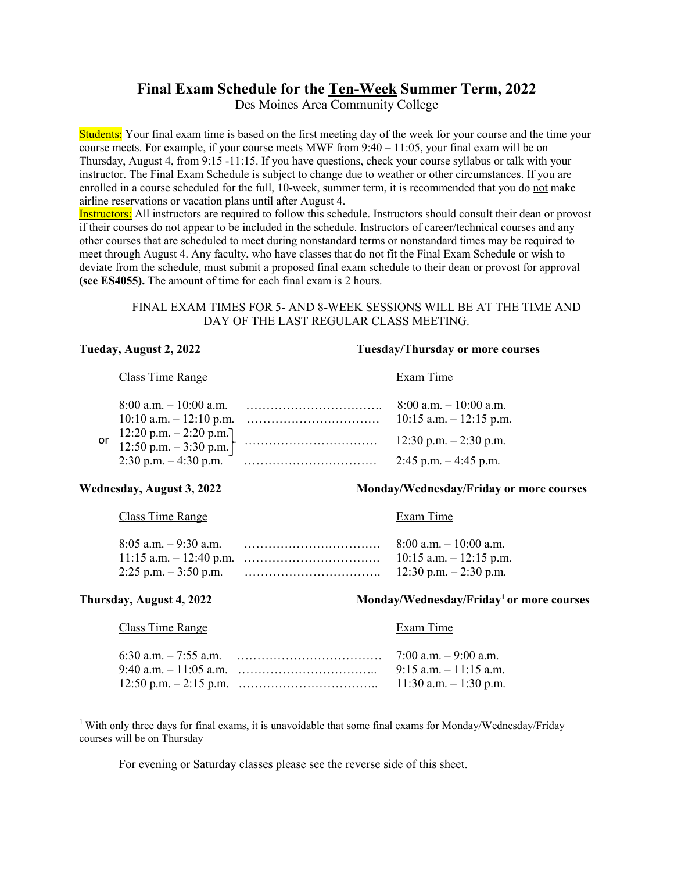# **Final Exam Schedule for the Ten-Week Summer Term, 2022**

Des Moines Area Community College

Students: Your final exam time is based on the first meeting day of the week for your course and the time your course meets. For example, if your course meets MWF from 9:40 – 11:05, your final exam will be on Thursday, August 4, from 9:15 -11:15. If you have questions, check your course syllabus or talk with your instructor. The Final Exam Schedule is subject to change due to weather or other circumstances. If you are enrolled in a course scheduled for the full, 10-week, summer term, it is recommended that you do not make airline reservations or vacation plans until after August 4.

Instructors: All instructors are required to follow this schedule. Instructors should consult their dean or provost if their courses do not appear to be included in the schedule. Instructors of career/technical courses and any other courses that are scheduled to meet during nonstandard terms or nonstandard times may be required to meet through August 4. Any faculty, who have classes that do not fit the Final Exam Schedule or wish to deviate from the schedule, must submit a proposed final exam schedule to their dean or provost for approval **(see ES4055).** The amount of time for each final exam is 2 hours.

# FINAL EXAM TIMES FOR 5- AND 8-WEEK SESSIONS WILL BE AT THE TIME AND DAY OF THE LAST REGULAR CLASS MEETING.

## **Tueday, August 2, 2022 Tuesday/Thursday or more courses**

### Class Time Range Exam Time

|  |                                                           | $8:00$ a.m. $-10:00$ a.m.<br>$10:15$ a.m. $-12:15$ p.m. |
|--|-----------------------------------------------------------|---------------------------------------------------------|
|  | or $12:20$ p.m. $- 2:20$ p.m.<br>12:50 p.m. $- 3:30$ p.m. | 12:30 p.m. $-2:30$ p.m.                                 |
|  |                                                           | 2:45 p.m. $-4:45$ p.m.                                  |

## **Wednesday, August 3, 2022 Monday/Wednesday/Friday or more courses**

# Class Time Range Exam Time

|  | $8:00$ a.m. $-10:00$ a.m. |
|--|---------------------------|
|  |                           |
|  |                           |

# **Thursday, August 4, 2022** Monday/Wednesday/Friday<sup>1</sup> or more courses

### Class Time Range Exam Time

|  | $9:15$ a.m. $-11:15$ a.m. |
|--|---------------------------|
|  | $11:30$ a.m. $-1:30$ p.m. |

<sup>1</sup> With only three days for final exams, it is unavoidable that some final exams for Monday/Wednesday/Friday courses will be on Thursday

For evening or Saturday classes please see the reverse side of this sheet.